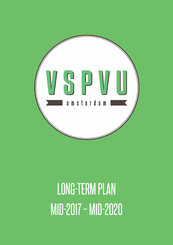

# LONG-TERM PLAN MID-2017 – MID-2020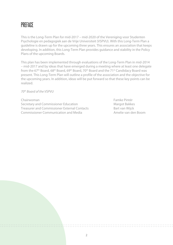#### **PRFFACE**

This is the Long-Term Plan for mid-2017 – mid-2020 of the Vereniging voor Studenten Psychologie en pedagogiek aan de Vrije Universiteit (VSPVU). With this Long-Term Plan a guideline is drawn up for the upcoming three years. This ensures an association that keeps developing. In addition, this Long-Term Plan provides guidance and stability in the Policy Plans of the upcoming Boards.

This plan has been implemented through evaluations of the Long-Term Plan in mid-2014 – mid-2017 and by ideas that have emerged during a meeting where at least one delegate from the 67<sup>th</sup> Board, 68<sup>th</sup> Board, 69<sup>th</sup> Board, 70<sup>th</sup> Board and the 71<sup>st</sup> Candidacy Board was present. This Long-Term Plan will outline a profile of the association and the objective for the upcoming years. In addition, ideas will be put forward so that these key points can be realized.

*70th Board of the VSPVU*

Chairwoman Famke Pintér Secretary and Commissioner Education Margot Bakkes Treasurer and Commissioner External Contacts Bart van Wijck Commissioner Communication and Media Amelie van den Boom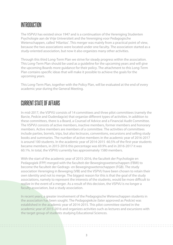## **INTRODUCTION**

The VSPVU has existed since 1947 and is a continuation of the Vereniging Studenten Psychologie aan de Vrije Universiteit and the Vereniging voor Pedagogische Wetenschappen, called 'Hilaritas'. This merger was mainly from a practical point of view, because the two associations were located under one faculty. The association started as a study-oriented association, but now it also organizes many other activities.

Through this third Long-Term Plan we strive for steady progress within the association. This Long-Term Plan should be used as a guideline for the upcoming years and will give the upcoming Boards more guidance for their policy. The attachment to this Long-Term Plan contains specific ideas that will make it possible to achieve the goals for the upcoming years.

This Long-Term Plan, together with the Policy Plan, will be evaluated at the end of every academic year during the General Meeting.

## CURRENT STATE OF AFFAIRS

In mid-2017, the VSPVU consists of 14 committees and three pilot committees (namely the Barcie, Pedcie and Ouderdagcie) that organize different types of activities. In addition to these committees, there is a Board, a Counsel of Advice and a Financial Audit Committee. The VSPVU consists of active members, inactive members, former members and honorary members. Active members are members of a committee. The activities of committees include parties, borrels, trips, but also lectruces, conventions, excursions and selling study books and summaries. The number of active members in the academic year of 2016-2017 is around 100 students. In the academic year of 2014-2015 60.5% of the first-year students became members, in 2015-2016 this percentage was 69.9% and in 2016-2017 it was 60.1%. In total, the VSPVU currently has approximately 1580 members.

With the start of the academic year of 2015-2016, the faculteit der Psychologie en Pedagogiek (FPP) merged with the faculteit der Bewegingswetenschappen (FBW) to become the faculteit der Gedrags- en Bewegingswetenschappen (FGB). The study association Vereniging in Beweging (VIB) and the VSPVU have been chosen to retain their own identity and not to merge. The biggest reason for this is that the goal of the study associations, namely to represent the interests of the students, would be more difficult to realize in the event of a merger. As a result of this decision, the VSPVU is no longer a faculty association, but a study association.

In recent years, a greater involvement of the Pedagogische Wetenschappen students in the association has been sought. The Pedagogiekcie (later approved as Pedcie) was established in the academic year of 2014-2015. This pilot committee started in the academic year of 2015-2016 and organizes activities such as lectures and excursions with the target group of students studying Educational Sciences.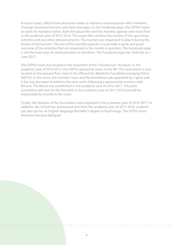In recent years, efforts have also been made to improve communication with members. Through structured lectures and clear messages on the Facebook page, the VSPVU hopes to reach its members better. Both the pause film and the monthly agenda were launched in the academic year of 2015-2016. The pause film contains the posters of the upcoming activities and any other announcements. The teachers are requested to play it during the breaks of the lectures. The aim of the monthly agenda is to provide a quick and good overview of the activities that are organized in the month in question. The Facebook page is still the main way of communication to members. The Facebook page has 1630 like on 1 June 2017.

The VSPVU room was located in the basement of the Transitorium. However, in the academic year of 2016-2017, the VSPVU opened its room in the MF. The association is now located on the ground floor next to the VIB and the Medische Faculteitsvereniging VUmc (MFVU). In this room, the member room and the Boardroom are separated by a glass wall. A bar has also been installed in the new room, following a sponsorship contract with Bavaria. The Barcie was established in the academic year of 2016-2017. This pilot committee will start for the first time in the academic year of 2017-2018 and will be responsible for borrels in the room.

Finally, the Statutes of the Association were adjusted in the academic year of 2016-2017. In addition, the School has announced that from the academic year of 2017-2018, students can also opt for an English-language Bachelor's degree in Psychology. The VSPVU must therefore become bilingual.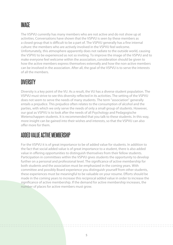# IMAGE

The VSPVU currently has many members who are not active and do not show up at activities. Conversations have shown that the VSPVU is seen by these members as a closed group that is difficult to be a part of. The VSPVU generally has a fine internal culture: the members who are actively involved in the VSPVU feel welcome. Unfortunately, this atmosphere apparently does not radiate to the outside world, causing the VSPVU to be experienced as not so inviting. To improve the image of the VSPVU and to make everyone feel welcome within the association, consideration should be given to how the active members express themselves externally and how the non-active members can be involved in the association. After all, the goal of the VSPVU is to serve the interests of all the members.

## **DIVERSITY**

Diversity is a key point of the VU. As a result, the VU has a diverse student population. The VSPVU must strive to see this diversity reflected in its activities. The setting of the VSPVU does not seem to serve the needs of many students. The term "association" generally entails a prejudice. This prejudice often relates to the consumption of alcohol and the parties, with which we only serve the needs of only a small group of students. However, our goal as VSPVU is to look after the needs of all Psychology and Pedagogische Wetenschappen students. It is recommended that you talk to these students. In this way, more insight can be gained into their wishes and interests, so that the VSPVU can also offer more for them.

## ADDED VALUE ACTIVE MEMBERSHIP

For the VSPVU it is of great importance to be of added value for students. In addition to the fact that social added value is of great importance to a student, there is also added value in offering opportunities to distinguish themselves from their fellow students. Participation in committees within the VSPVU gives students the opportunity to develop further on a personal and professional level. The significance of active membership for both students and the association must be emphasized in the coming years. With committee and possibly Board experience you distinguish yourself from other students, these experiences must be meaningful to be valuable on your resume. Efforts should be made in the coming years to increase this reciprocal added value in order to increase the significance of active membership. If the demand for active membership increases, the number of places for active members must grow.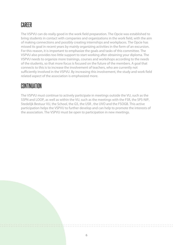# CAREER

The VSPVU can do really good in the work field preparation. The Opcie was established to bring students in contact with companies and organizations in the work field, with the aim of making connections and possibly creating internships and workplaces. The Opcie has missed its goal in recent years by mainly organizing activities in the form of an excursion. For this reason, it is important to emphasize the goals and tasks of this committee. The VSPVU also provides too little support to start working after obtaining your diploma. The VSPVU needs to organize more trainings, courses and workshops according to the needs of the students, so that more focus is focused on the future of the members. A goal that connects to this is to increase the involvement of teachers, who are currently not sufficiently involved in the VSPVU. By increasing this involvement, the study and work field related aspect of the association is emphasized more.

#### CONTINUATION

The VSPVU must continue to actively participate in meetings outside the VU, such as the SSPN and LOOP, as well as within the VU, such as the meetings with the FSR, the SPS-NIP, Stedelijk Bestuur VU, the School, the G5, the USR , the UVO and the FSOGB. This active participation helps the VSPVU to further develop and can help to promote the interests of the association. The VSPVU must be open to participation in new meetings.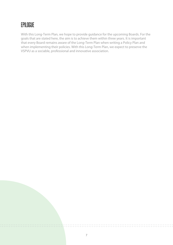# EPILOGUE

With this Long-Term Plan, we hope to provide guidance for the upcoming Boards. For the goals that are stated here, the aim is to achieve them within three years. It is important that every Board remains aware of the Long-Term Plan when writing a Policy Plan and when implementing their policies. With this Long-Term Plan, we expect to preserve the VSPVU as a sociable, professional and innovative association.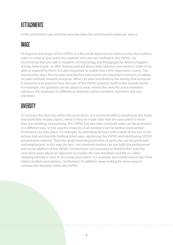# ATTTACHMENTS

In this attachment you will find concrete ideas for achieving the goals per aspect.

# **IMAGE**

To improve the image of the VSPVU, it is first of all important to listen to what the students want. In order to also reach the students who are not involved in the VSPVU, we recommend that you talk to students of Psychology and Pedagogische Wetenschappen during, before and / or after lectures and ask about their opinions and needs in order to be able to respond to them. It is also important to realize that a first impression counts. The introduction days, first lectures and the first mini-events are important moments to adopt an open attitude towards everyone. What can also contribute to the feeling that everyone is welcome is to examine how the core of the VSPVU presents itself to the outside world. For example, the question can be asked to what extend the vests for active members influence the emphasis on differences between active members, members and nonmembers.

# **DIVERSITY**

To increase the diversity within the association, it is recommended to emphasize the study and work field related aspect, while it must be made clear that the association is more than just drinking and partying. The VSPVU has two sides and both sides can be promoted in a different way. In this way the interests of all members can be further represented. Promotion can take place, for example, by attending lectures with a table at the exit of the lecture hall and possibly holding ticket sales, explaining the VSPVU and distributing VSPVU promotional material. Then the study-extending activities in particular can be promoted and emphasized. In this way the less / not involved student can see both the professional and social addition of the VSPVU. Furthermore, it is necessary to think further over the next three years about an approach to involve the non-members and the so-called sleeping members more in the study association. For example, you could request tips from others student associations / institutions. In addition, keep looking for more ways to increase the diversity within the VSPVU